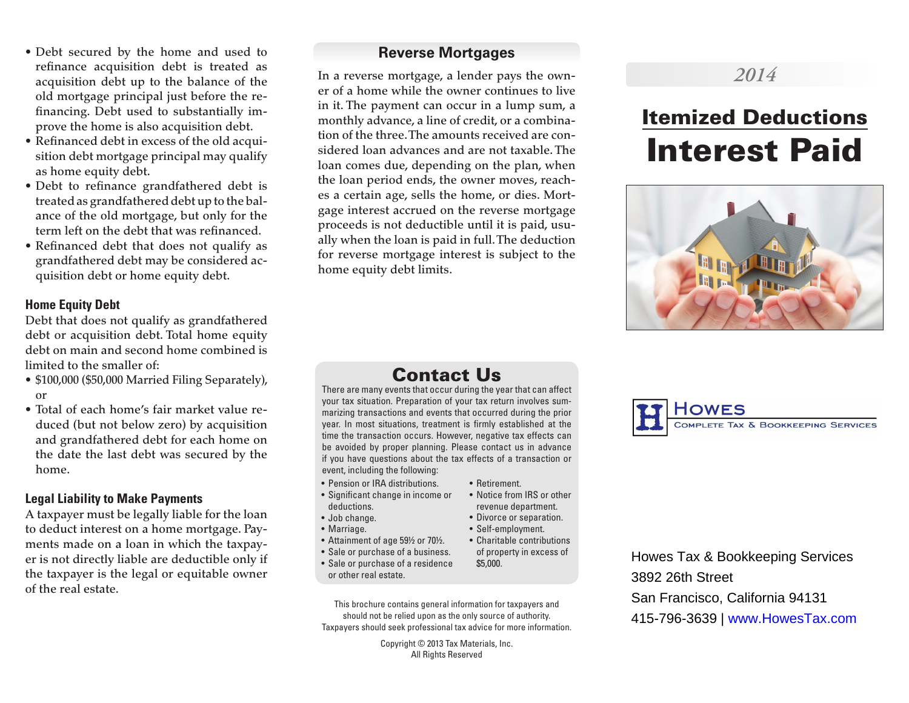- Debt secured by the home and used to refinance acquisition debt is treated as acquisition debt up to the balance of the old mortgage principal just before the refinancing. Debt used to substantially improve the home is also acquisition debt.
- Refinanced debt in excess of the old acquisition debt mortgage principal may qualify as home equity debt.
- Debt to refinance grandfathered debt is treated as grandfathered debt up to the balance of the old mortgage, but only for the term left on the debt that was refinanced.
- Refinanced debt that does not qualify as grandfathered debt may be considered acquisition debt or home equity debt.

#### **Home Equity Debt**

Debt that does not qualify as grandfathered debt or acquisition debt. Total home equity debt on main and second home combined is limited to the smaller of:

- \$100,000 (\$50,000 Married Filing Separately), or
- Total of each home's fair market value reduced (but not below zero) by acquisition and grandfathered debt for each home on the date the last debt was secured by the home.

#### **Legal Liability to Make Payments**

A taxpayer must be legally liable for the loan to deduct interest on a home mortgage. Payments made on a loan in which the taxpayer is not directly liable are deductible only if the taxpayer is the legal or equitable owner of the real estate.

### **Reverse Mortgages**

In a reverse mortgage, a lender pays the owner of a home while the owner continues to live in it. The payment can occur in a lump sum, a monthly advance, a line of credit, or a combination of the three. The amounts received are considered loan advances and are not taxable. The loan comes due, depending on the plan, when the loan period ends, the owner moves, reaches a certain age, sells the home, or dies. Mortgage interest accrued on the reverse mortgage proceeds is not deductible until it is paid, usually when the loan is paid in full. The deduction for reverse mortgage interest is subject to the home equity debt limits.

# *2014*

# Itemized Deductions Interest Paid



# Contact Us

There are many events that occur during the year that can affect your tax situation. Preparation of your tax return involves summarizing transactions and events that occurred during the prior year. In most situations, treatment is firmly established at the time the transaction occurs. However, negative tax effects can be avoided by proper planning. Please contact us in advance if you have questions about the tax effects of a transaction or event, including the following:

• Retirement.

\$5,000.

• Notice from IRS or other revenue department. • Divorce or separation. • Self-employment.

of property in excess of

- Pension or IRA distributions.
- Significant change in income or deductions.
- Job change.
- Marriage.
- Attainment of age 59½ or 70½. • Charitable contributions
- Sale or purchase of a business.
- Sale or purchase of a residence or other real estate.
- This brochure contains general information for taxpayers and should not be relied upon as the only source of authority. Taxpayers should seek professional tax advice for more information.

Copyright © 2013 Tax Materials, Inc. All Rights Reserved



# Howes Tax & Bookkeeping Services 3892 26th Street San Francisco, California 94131 415-796-3639 | www.HowesTax.com